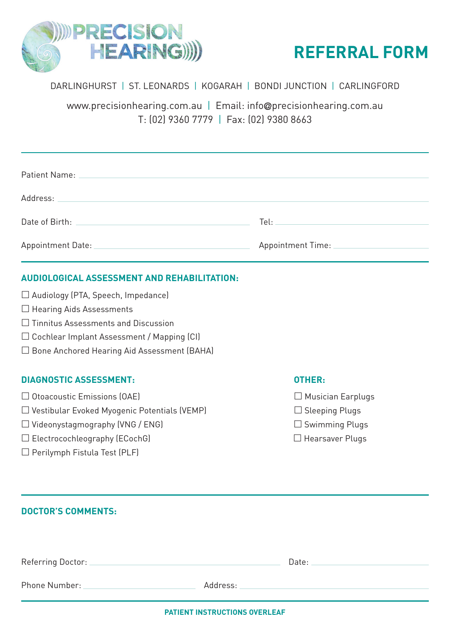



## DARLINGHURST | ST. LEONARDS | KOGARAH | BONDI JUNCTION | CARLINGFORD

www.precisionhearing.com.au | Email: info**@**precisionhearing.com.au T: (02) 9360 7779 | Fax: (02) 9380 8663

| Date of Birth: The Contract of Birth:        | Tel: the contract of the contract of the contract of the contract of the contract of the contract of the contract of the contract of the contract of the contract of the contract of the contract of the contract of the contr |
|----------------------------------------------|--------------------------------------------------------------------------------------------------------------------------------------------------------------------------------------------------------------------------------|
| Appointment Date: National Appointment Date: | Appointment Time: National Appointment Time:                                                                                                                                                                                   |

## **AUDIOLOGICAL ASSESSMENT AND REHABILITATION:**

| □ Audiology (PTA, Speech, Impedance) |  |  |  |
|--------------------------------------|--|--|--|
|--------------------------------------|--|--|--|

- $\Box$  Hearing Aids Assessments
- Tinnitus Assessments and Discussion
- Cochlear Implant Assessment / Mapping (CI)
- □ Bone Anchored Hearing Aid Assessment (BAHA)

### **DIAGNOSTIC ASSESSMENT: OTHER:**

- $\Box$  Otoacoustic Emissions (OAE)  $\Box$  Musician Earplugs
- $\square$  Vestibular Evoked Myogenic Potentials (VEMP)  $\square$  Sleeping Plugs
- $\square$  Videonystagmography (VNG / ENG)  $\square$  Swimming Plugs
- $\square$  Electrocochleography (ECochG)  $\square$  Hearsaver Plugs
- $\square$  Perilymph Fistula Test (PLF)

- 
- 
- 
- 

| <b>DOCTOR'S COMMENTS:</b>            |                                                                                                                                                                                                                                |
|--------------------------------------|--------------------------------------------------------------------------------------------------------------------------------------------------------------------------------------------------------------------------------|
|                                      | Date: the contract of the contract of the contract of the contract of the contract of the contract of the contract of the contract of the contract of the contract of the contract of the contract of the contract of the cont |
| Phone Number: National Phone Number: |                                                                                                                                                                                                                                |

**PATIENT INSTRUCTIONS OVERLEAF**